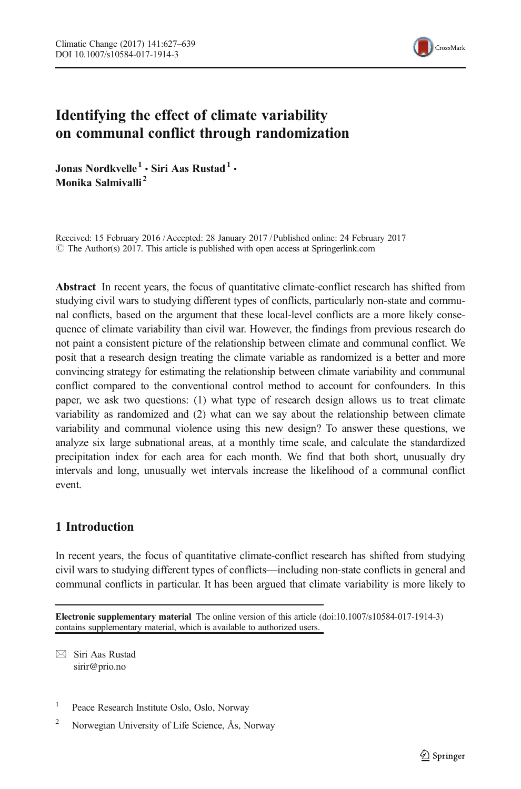

# Identifying the effect of climate variability on communal conflict through randomization

Jonas Nordkvelle<sup>1</sup>  $\cdot$  Siri Aas Rustad<sup>1</sup>  $\cdot$ Monika Salmivalli <sup>2</sup>

Received: 15 February 2016 /Accepted: 28 January 2017 / Published online: 24 February 2017  $\degree$  The Author(s) 2017. This article is published with open access at Springerlink.com

Abstract In recent years, the focus of quantitative climate-conflict research has shifted from studying civil wars to studying different types of conflicts, particularly non-state and communal conflicts, based on the argument that these local-level conflicts are a more likely consequence of climate variability than civil war. However, the findings from previous research do not paint a consistent picture of the relationship between climate and communal conflict. We posit that a research design treating the climate variable as randomized is a better and more convincing strategy for estimating the relationship between climate variability and communal conflict compared to the conventional control method to account for confounders. In this paper, we ask two questions: (1) what type of research design allows us to treat climate variability as randomized and (2) what can we say about the relationship between climate variability and communal violence using this new design? To answer these questions, we analyze six large subnational areas, at a monthly time scale, and calculate the standardized precipitation index for each area for each month. We find that both short, unusually dry intervals and long, unusually wet intervals increase the likelihood of a communal conflict event.

## 1 Introduction

In recent years, the focus of quantitative climate-conflict research has shifted from studying civil wars to studying different types of conflicts—including non-state conflicts in general and communal conflicts in particular. It has been argued that climate variability is more likely to

Electronic supplementary material The online version of this article (doi:[10.1007/s10584-017-1914-3\)](http://dx.doi.org/10.1007/s10584-017-1914-3) contains supplementary material, which is available to authorized users.

 $\boxtimes$  Siri Aas Rustad sirir@prio.no

<sup>&</sup>lt;sup>1</sup> Peace Research Institute Oslo, Oslo, Norway

<sup>2</sup> Norwegian University of Life Science, Ås, Norway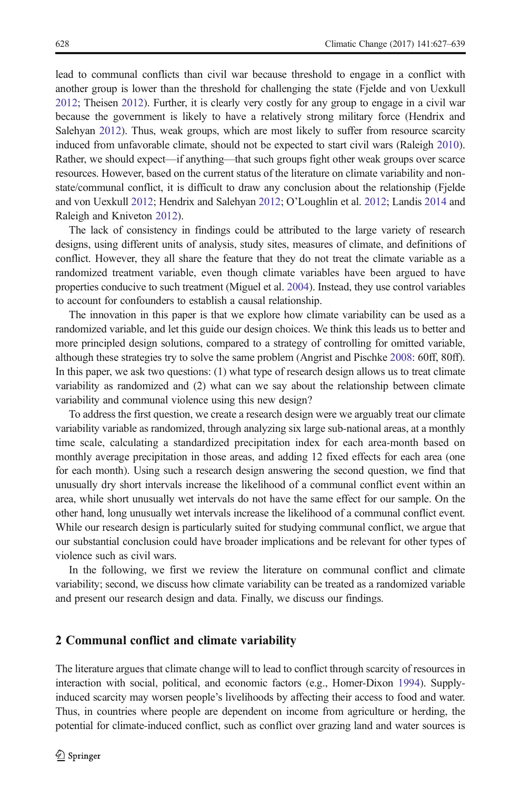lead to communal conflicts than civil war because threshold to engage in a conflict with another group is lower than the threshold for challenging the state (Fjelde and von Uexkull [2012](#page-12-0); Theisen [2012](#page-12-0)). Further, it is clearly very costly for any group to engage in a civil war because the government is likely to have a relatively strong military force (Hendrix and Salehyan [2012](#page-12-0)). Thus, weak groups, which are most likely to suffer from resource scarcity induced from unfavorable climate, should not be expected to start civil wars (Raleigh [2010](#page-12-0)). Rather, we should expect—if anything—that such groups fight other weak groups over scarce resources. However, based on the current status of the literature on climate variability and nonstate/communal conflict, it is difficult to draw any conclusion about the relationship (Fjelde and von Uexkull [2012](#page-12-0); Hendrix and Salehyan [2012;](#page-12-0) O'Loughlin et al. [2012](#page-12-0); Landis [2014](#page-12-0) and Raleigh and Kniveton [2012\)](#page-12-0).

The lack of consistency in findings could be attributed to the large variety of research designs, using different units of analysis, study sites, measures of climate, and definitions of conflict. However, they all share the feature that they do not treat the climate variable as a randomized treatment variable, even though climate variables have been argued to have properties conducive to such treatment (Miguel et al. [2004\)](#page-12-0). Instead, they use control variables to account for confounders to establish a causal relationship.

The innovation in this paper is that we explore how climate variability can be used as a randomized variable, and let this guide our design choices. We think this leads us to better and more principled design solutions, compared to a strategy of controlling for omitted variable, although these strategies try to solve the same problem (Angrist and Pischke [2008:](#page-12-0) 60ff, 80ff). In this paper, we ask two questions: (1) what type of research design allows us to treat climate variability as randomized and (2) what can we say about the relationship between climate variability and communal violence using this new design?

To address the first question, we create a research design were we arguably treat our climate variability variable as randomized, through analyzing six large sub-national areas, at a monthly time scale, calculating a standardized precipitation index for each area-month based on monthly average precipitation in those areas, and adding 12 fixed effects for each area (one for each month). Using such a research design answering the second question, we find that unusually dry short intervals increase the likelihood of a communal conflict event within an area, while short unusually wet intervals do not have the same effect for our sample. On the other hand, long unusually wet intervals increase the likelihood of a communal conflict event. While our research design is particularly suited for studying communal conflict, we argue that our substantial conclusion could have broader implications and be relevant for other types of violence such as civil wars.

In the following, we first we review the literature on communal conflict and climate variability; second, we discuss how climate variability can be treated as a randomized variable and present our research design and data. Finally, we discuss our findings.

## 2 Communal conflict and climate variability

The literature argues that climate change will to lead to conflict through scarcity of resources in interaction with social, political, and economic factors (e.g., Homer-Dixon [1994](#page-12-0)). Supplyinduced scarcity may worsen people's livelihoods by affecting their access to food and water. Thus, in countries where people are dependent on income from agriculture or herding, the potential for climate-induced conflict, such as conflict over grazing land and water sources is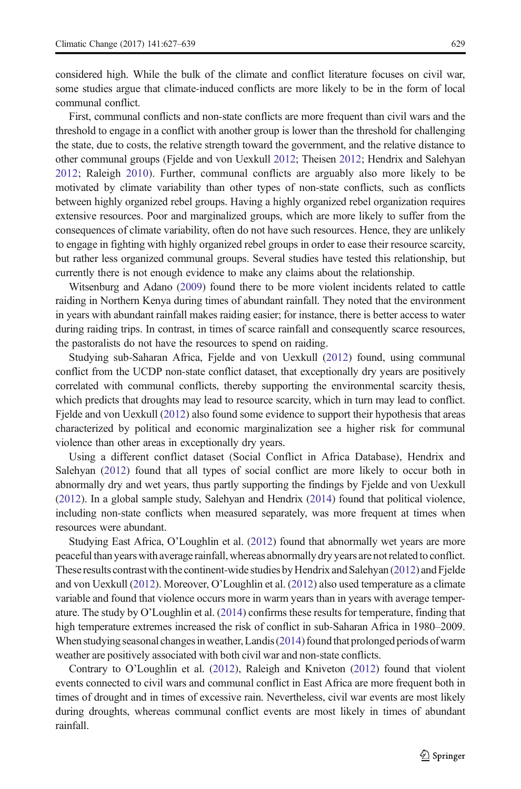considered high. While the bulk of the climate and conflict literature focuses on civil war, some studies argue that climate-induced conflicts are more likely to be in the form of local communal conflict.

First, communal conflicts and non-state conflicts are more frequent than civil wars and the threshold to engage in a conflict with another group is lower than the threshold for challenging the state, due to costs, the relative strength toward the government, and the relative distance to other communal groups (Fjelde and von Uexkull [2012](#page-12-0); Theisen [2012;](#page-12-0) Hendrix and Salehyan [2012;](#page-12-0) Raleigh [2010](#page-12-0)). Further, communal conflicts are arguably also more likely to be motivated by climate variability than other types of non-state conflicts, such as conflicts between highly organized rebel groups. Having a highly organized rebel organization requires extensive resources. Poor and marginalized groups, which are more likely to suffer from the consequences of climate variability, often do not have such resources. Hence, they are unlikely to engage in fighting with highly organized rebel groups in order to ease their resource scarcity, but rather less organized communal groups. Several studies have tested this relationship, but currently there is not enough evidence to make any claims about the relationship.

Witsenburg and Adano [\(2009\)](#page-12-0) found there to be more violent incidents related to cattle raiding in Northern Kenya during times of abundant rainfall. They noted that the environment in years with abundant rainfall makes raiding easier; for instance, there is better access to water during raiding trips. In contrast, in times of scarce rainfall and consequently scarce resources, the pastoralists do not have the resources to spend on raiding.

Studying sub-Saharan Africa, Fjelde and von Uexkull [\(2012\)](#page-12-0) found, using communal conflict from the UCDP non-state conflict dataset, that exceptionally dry years are positively correlated with communal conflicts, thereby supporting the environmental scarcity thesis, which predicts that droughts may lead to resource scarcity, which in turn may lead to conflict. Fjelde and von Uexkull [\(2012\)](#page-12-0) also found some evidence to support their hypothesis that areas characterized by political and economic marginalization see a higher risk for communal violence than other areas in exceptionally dry years.

Using a different conflict dataset (Social Conflict in Africa Database), Hendrix and Salehyan ([2012\)](#page-12-0) found that all types of social conflict are more likely to occur both in abnormally dry and wet years, thus partly supporting the findings by Fjelde and von Uexkull ([2012](#page-12-0)). In a global sample study, Salehyan and Hendrix [\(2014](#page-12-0)) found that political violence, including non-state conflicts when measured separately, was more frequent at times when resources were abundant.

Studying East Africa, O'Loughlin et al. ([2012](#page-12-0)) found that abnormally wet years are more peaceful than years with average rainfall, whereas abnormally dry years are not related to conflict. These results contrast withthe continent-wide studies by Hendrix and Salehyan [\(2012\)](#page-12-0) and Fjelde and von Uexkull [\(2012](#page-12-0)). Moreover, O'Loughlin et al. ([2012](#page-12-0)) also used temperature as a climate variable and found that violence occurs more in warm years than in years with average temperature. The study by O'Loughlin et al. [\(2014\)](#page-12-0) confirms these results for temperature, finding that high temperature extremes increased the risk of conflict in sub-Saharan Africa in 1980–2009. When studying seasonal changes in weather, Landis ([2014](#page-12-0)) found that prolonged periods of warm weather are positively associated with both civil war and non-state conflicts.

Contrary to O'Loughlin et al. ([2012](#page-12-0)), Raleigh and Kniveton [\(2012](#page-12-0)) found that violent events connected to civil wars and communal conflict in East Africa are more frequent both in times of drought and in times of excessive rain. Nevertheless, civil war events are most likely during droughts, whereas communal conflict events are most likely in times of abundant rainfall.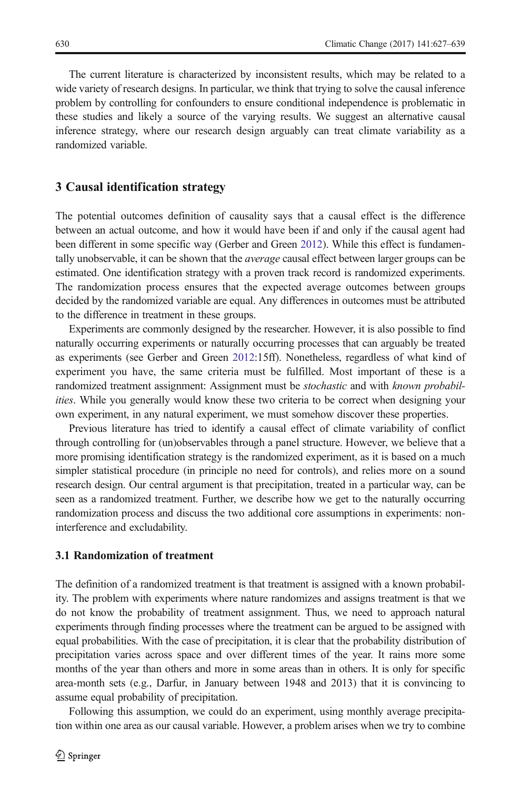The current literature is characterized by inconsistent results, which may be related to a wide variety of research designs. In particular, we think that trying to solve the causal inference problem by controlling for confounders to ensure conditional independence is problematic in these studies and likely a source of the varying results. We suggest an alternative causal inference strategy, where our research design arguably can treat climate variability as a randomized variable.

## 3 Causal identification strategy

The potential outcomes definition of causality says that a causal effect is the difference between an actual outcome, and how it would have been if and only if the causal agent had been different in some specific way (Gerber and Green [2012](#page-12-0)). While this effect is fundamentally unobservable, it can be shown that the *average* causal effect between larger groups can be estimated. One identification strategy with a proven track record is randomized experiments. The randomization process ensures that the expected average outcomes between groups decided by the randomized variable are equal. Any differences in outcomes must be attributed to the difference in treatment in these groups.

Experiments are commonly designed by the researcher. However, it is also possible to find naturally occurring experiments or naturally occurring processes that can arguably be treated as experiments (see Gerber and Green [2012:](#page-12-0)15ff). Nonetheless, regardless of what kind of experiment you have, the same criteria must be fulfilled. Most important of these is a randomized treatment assignment: Assignment must be *stochastic* and with *known probabil*ities. While you generally would know these two criteria to be correct when designing your own experiment, in any natural experiment, we must somehow discover these properties.

Previous literature has tried to identify a causal effect of climate variability of conflict through controlling for (un)observables through a panel structure. However, we believe that a more promising identification strategy is the randomized experiment, as it is based on a much simpler statistical procedure (in principle no need for controls), and relies more on a sound research design. Our central argument is that precipitation, treated in a particular way, can be seen as a randomized treatment. Further, we describe how we get to the naturally occurring randomization process and discuss the two additional core assumptions in experiments: noninterference and excludability.

## 3.1 Randomization of treatment

The definition of a randomized treatment is that treatment is assigned with a known probability. The problem with experiments where nature randomizes and assigns treatment is that we do not know the probability of treatment assignment. Thus, we need to approach natural experiments through finding processes where the treatment can be argued to be assigned with equal probabilities. With the case of precipitation, it is clear that the probability distribution of precipitation varies across space and over different times of the year. It rains more some months of the year than others and more in some areas than in others. It is only for specific area-month sets (e.g., Darfur, in January between 1948 and 2013) that it is convincing to assume equal probability of precipitation.

Following this assumption, we could do an experiment, using monthly average precipitation within one area as our causal variable. However, a problem arises when we try to combine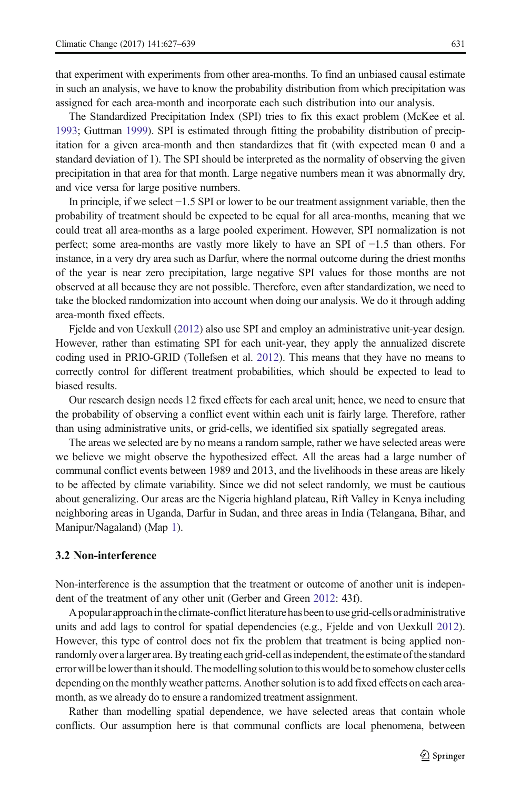that experiment with experiments from other area-months. To find an unbiased causal estimate in such an analysis, we have to know the probability distribution from which precipitation was assigned for each area-month and incorporate each such distribution into our analysis.

The Standardized Precipitation Index (SPI) tries to fix this exact problem (McKee et al. [1993](#page-12-0); Guttman [1999\)](#page-12-0). SPI is estimated through fitting the probability distribution of precipitation for a given area-month and then standardizes that fit (with expected mean 0 and a standard deviation of 1). The SPI should be interpreted as the normality of observing the given precipitation in that area for that month. Large negative numbers mean it was abnormally dry, and vice versa for large positive numbers.

In principle, if we select −1.5 SPI or lower to be our treatment assignment variable, then the probability of treatment should be expected to be equal for all area-months, meaning that we could treat all area-months as a large pooled experiment. However, SPI normalization is not perfect; some area-months are vastly more likely to have an SPI of −1.5 than others. For instance, in a very dry area such as Darfur, where the normal outcome during the driest months of the year is near zero precipitation, large negative SPI values for those months are not observed at all because they are not possible. Therefore, even after standardization, we need to take the blocked randomization into account when doing our analysis. We do it through adding area-month fixed effects.

Fjelde and von Uexkull ([2012](#page-12-0)) also use SPI and employ an administrative unit-year design. However, rather than estimating SPI for each unit-year, they apply the annualized discrete coding used in PRIO-GRID (Tollefsen et al. [2012](#page-12-0)). This means that they have no means to correctly control for different treatment probabilities, which should be expected to lead to biased results.

Our research design needs 12 fixed effects for each areal unit; hence, we need to ensure that the probability of observing a conflict event within each unit is fairly large. Therefore, rather than using administrative units, or grid-cells, we identified six spatially segregated areas.

The areas we selected are by no means a random sample, rather we have selected areas were we believe we might observe the hypothesized effect. All the areas had a large number of communal conflict events between 1989 and 2013, and the livelihoods in these areas are likely to be affected by climate variability. Since we did not select randomly, we must be cautious about generalizing. Our areas are the Nigeria highland plateau, Rift Valley in Kenya including neighboring areas in Uganda, Darfur in Sudan, and three areas in India (Telangana, Bihar, and Manipur/Nagaland) (Map [1](#page-5-0)).

#### 3.2 Non-interference

Non-interference is the assumption that the treatment or outcome of another unit is independent of the treatment of any other unit (Gerber and Green [2012](#page-12-0): 43f).

A popular approachinthe climate-conflictliterature has beento use grid-cells oradministrative units and add lags to control for spatial dependencies (e.g., Fjelde and von Uexkull [2012](#page-12-0)). However, this type of control does not fix the problem that treatment is being applied nonrandomly over a larger area. By treating each grid-cell as independent, the estimate of the standard error will be lower than it should. The modelling solution to this would be to somehow cluster cells depending on the monthly weather patterns. Another solution is to add fixed effects on each areamonth, as we already do to ensure a randomized treatment assignment.

Rather than modelling spatial dependence, we have selected areas that contain whole conflicts. Our assumption here is that communal conflicts are local phenomena, between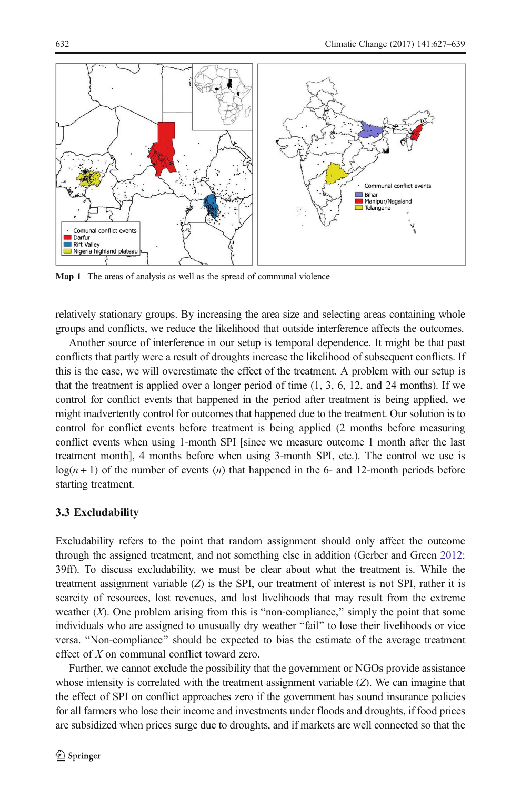<span id="page-5-0"></span>

Map 1 The areas of analysis as well as the spread of communal violence

relatively stationary groups. By increasing the area size and selecting areas containing whole groups and conflicts, we reduce the likelihood that outside interference affects the outcomes.

Another source of interference in our setup is temporal dependence. It might be that past conflicts that partly were a result of droughts increase the likelihood of subsequent conflicts. If this is the case, we will overestimate the effect of the treatment. A problem with our setup is that the treatment is applied over a longer period of time (1, 3, 6, 12, and 24 months). If we control for conflict events that happened in the period after treatment is being applied, we might inadvertently control for outcomes that happened due to the treatment. Our solution is to control for conflict events before treatment is being applied (2 months before measuring conflict events when using 1-month SPI [since we measure outcome 1 month after the last treatment month], 4 months before when using 3-month SPI, etc.). The control we use is  $log(n + 1)$  of the number of events (n) that happened in the 6- and 12-month periods before starting treatment.

#### 3.3 Excludability

Excludability refers to the point that random assignment should only affect the outcome through the assigned treatment, and not something else in addition (Gerber and Green [2012](#page-12-0): 39ff). To discuss excludability, we must be clear about what the treatment is. While the treatment assignment variable (Z) is the SPI, our treatment of interest is not SPI, rather it is scarcity of resources, lost revenues, and lost livelihoods that may result from the extreme weather  $(X)$ . One problem arising from this is "non-compliance," simply the point that some individuals who are assigned to unusually dry weather "fail" to lose their livelihoods or vice versa. "Non-compliance" should be expected to bias the estimate of the average treatment effect of  $X$  on communal conflict toward zero.

Further, we cannot exclude the possibility that the government or NGOs provide assistance whose intensity is correlated with the treatment assignment variable  $(Z)$ . We can imagine that the effect of SPI on conflict approaches zero if the government has sound insurance policies for all farmers who lose their income and investments under floods and droughts, if food prices are subsidized when prices surge due to droughts, and if markets are well connected so that the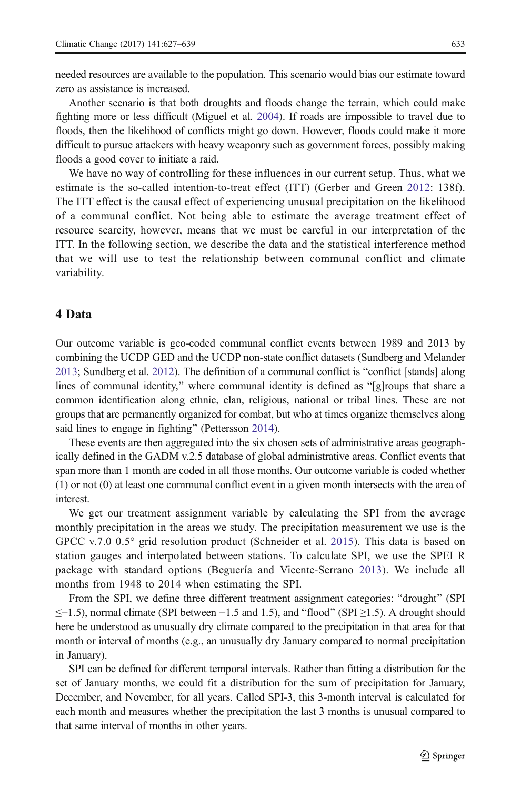needed resources are available to the population. This scenario would bias our estimate toward

zero as assistance is increased. Another scenario is that both droughts and floods change the terrain, which could make fighting more or less difficult (Miguel et al. [2004](#page-12-0)). If roads are impossible to travel due to floods, then the likelihood of conflicts might go down. However, floods could make it more difficult to pursue attackers with heavy weaponry such as government forces, possibly making

floods a good cover to initiate a raid. We have no way of controlling for these influences in our current setup. Thus, what we estimate is the so-called intention-to-treat effect (ITT) (Gerber and Green [2012](#page-12-0): 138f). The ITT effect is the causal effect of experiencing unusual precipitation on the likelihood of a communal conflict. Not being able to estimate the average treatment effect of resource scarcity, however, means that we must be careful in our interpretation of the ITT. In the following section, we describe the data and the statistical interference method that we will use to test the relationship between communal conflict and climate variability.

## 4 Data

Our outcome variable is geo-coded communal conflict events between 1989 and 2013 by combining the UCDP GED and the UCDP non-state conflict datasets (Sundberg and Melander [2013](#page-12-0); Sundberg et al. [2012\)](#page-12-0). The definition of a communal conflict is "conflict [stands] along lines of communal identity," where communal identity is defined as " $[g]$  roups that share a common identification along ethnic, clan, religious, national or tribal lines. These are not groups that are permanently organized for combat, but who at times organize themselves along said lines to engage in fighting" (Pettersson [2014](#page-12-0)).

These events are then aggregated into the six chosen sets of administrative areas geographically defined in the GADM v.2.5 database of global administrative areas. Conflict events that span more than 1 month are coded in all those months. Our outcome variable is coded whether (1) or not (0) at least one communal conflict event in a given month intersects with the area of interest.

We get our treatment assignment variable by calculating the SPI from the average monthly precipitation in the areas we study. The precipitation measurement we use is the GPCC v.7.0 0.5° grid resolution product (Schneider et al. [2015\)](#page-12-0). This data is based on station gauges and interpolated between stations. To calculate SPI, we use the SPEI R package with standard options (Beguería and Vicente-Serrano [2013](#page-12-0)). We include all months from 1948 to 2014 when estimating the SPI.

From the SPI, we define three different treatment assignment categories: "drought" (SPI ≤−1.5), normal climate (SPI between −1.5 and 1.5), and "flood" (SPI ≥1.5). A drought should here be understood as unusually dry climate compared to the precipitation in that area for that month or interval of months (e.g., an unusually dry January compared to normal precipitation in January).

SPI can be defined for different temporal intervals. Rather than fitting a distribution for the set of January months, we could fit a distribution for the sum of precipitation for January, December, and November, for all years. Called SPI-3, this 3-month interval is calculated for each month and measures whether the precipitation the last 3 months is unusual compared to that same interval of months in other years.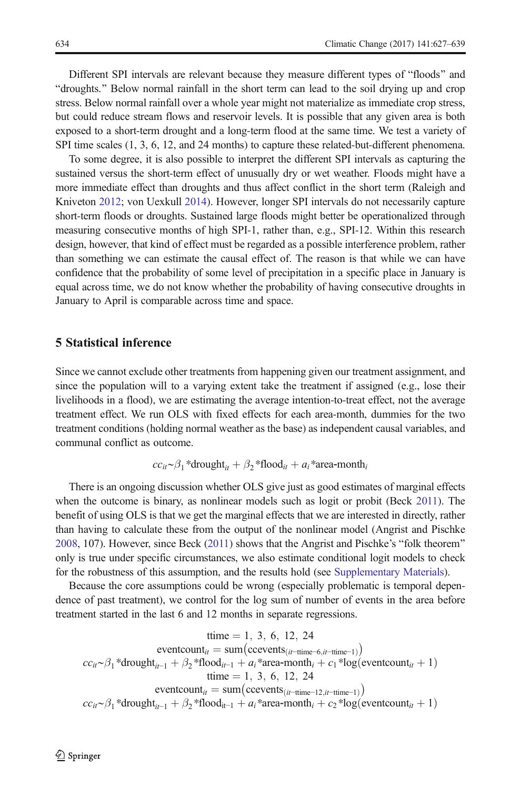Different SPI intervals are relevant because they measure different types of "floods" and "droughts." Below normal rainfall in the short term can lead to the soil drying up and crop stress. Below normal rainfall over a whole year might not materialize as immediate crop stress, but could reduce stream flows and reservoir levels. It is possible that any given area is both exposed to a short-term drought and a long-term flood at the same time. We test a variety of SPI time scales  $(1, 3, 6, 12, \text{ and } 24 \text{ months})$  to capture these related-but-different phenomena.

To some degree, it is also possible to interpret the different SPI intervals as capturing the sustained versus the short-term effect of unusually dry or wet weather. Floods might have a more immediate effect than droughts and thus affect conflict in the short term (Raleigh and Kniveton [2012](#page-12-0); von Uexkull [2014\)](#page-12-0). However, longer SPI intervals do not necessarily capture short-term floods or droughts. Sustained large floods might better be operationalized through measuring consecutive months of high SPI-1, rather than, e.g., SPI-12. Within this research design, however, that kind of effect must be regarded as a possible interference problem, rather than something we can estimate the causal effect of. The reason is that while we can have confidence that the probability of some level of precipitation in a specific place in January is equal across time, we do not know whether the probability of having consecutive droughts in January to April is comparable across time and space.

## 5 Statistical inference

Since we cannot exclude other treatments from happening given our treatment assignment, and since the population will to a varying extent take the treatment if assigned (e.g., lose their livelihoods in a flood), we are estimating the average intention-to-treat effect, not the average treatment effect. We run OLS with fixed effects for each area-month, dummies for the two treatment conditions (holding normal weather as the base) as independent causal variables, and communal conflict as outcome.

$$
cc_{it} \sim \beta_1 * \text{drought}_{it} + \beta_2 * \text{flood}_{it} + a_i * \text{area-month}_{it}
$$

There is an ongoing discussion whether OLS give just as good estimates of marginal effects when the outcome is binary, as nonlinear models such as logit or probit (Beck [2011](#page-12-0)). The benefit of using OLS is that we get the marginal effects that we are interested in directly, rather than having to calculate these from the output of the nonlinear model (Angrist and Pischke  $2008$ , 107). However, since Beck  $(2011)$  $(2011)$  shows that the Angrist and Pischke's "folk theorem" only is true under specific circumstances, we also estimate conditional logit models to check for the robustness of this assumption, and the results hold (see Supplementary Materials).

Because the core assumptions could be wrong (especially problematic is temporal dependence of past treatment), we control for the log sum of number of events in the area before treatment started in the last 6 and 12 months in separate regressions.

$$
\text{time} = 1, 3, 6, 12, 24
$$
\n
$$
\text{eventcount}_{it} = \text{sum}\left(\text{cevents}_{(it-\text{time}-6, it-\text{time}-1)}\right)
$$
\n
$$
cc_{it} \sim \beta_1 * \text{drought}_{it-1} + \beta_2 * \text{flood}_{it-1} + a_i * \text{area-month}_i + c_1 * \text{log}\left(\text{eventcount}_{it} + 1\right)
$$
\n
$$
\text{time} = 1, 3, 6, 12, 24
$$
\n
$$
\text{eventcount}_{it} = \text{sum}\left(\text{cevents}_{(it-\text{time}-12, it-\text{time}-1)}\right)
$$
\n
$$
cc_{it} \sim \beta_1 * \text{drought}_{it-1} + \beta_2 * \text{flood}_{it-1} + a_i * \text{area-month}_i + c_2 * \text{log}\left(\text{eventcount}_{it} + 1\right)
$$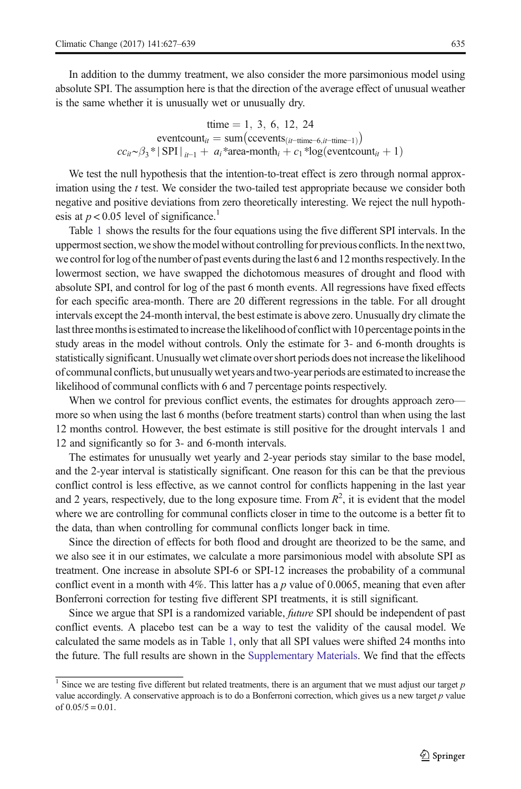In addition to the dummy treatment, we also consider the more parsimonious model using absolute SPI. The assumption here is that the direction of the average effect of unusual weather is the same whether it is unusually wet or unusually dry.

$$
\text{time} = 1, 3, 6, 12, 24
$$
\n
$$
\text{eventcount}_{it} = \text{sum}\left(\text{cevents}_{(it-\text{time}-6, it-\text{time}-1)}\right)
$$
\n
$$
cc_{it} \sim \beta_3^* |\text{SPI}|_{it-1} + a_i^* \text{area-month}_i + c_1^* \log(\text{eventcount}_{it} + 1)
$$

We test the null hypothesis that the intention-to-treat effect is zero through normal approximation using the t test. We consider the two-tailed test appropriate because we consider both negative and positive deviations from zero theoretically interesting. We reject the null hypothesis at  $p < 0.05$  level of significance.<sup>1</sup>

Table [1](#page-9-0) shows the results for the four equations using the five different SPI intervals. In the uppermost section, we show the model without controlling for previous conflicts. In the nexttwo, we control for log of the number of past events during the last 6 and 12 months respectively. In the lowermost section, we have swapped the dichotomous measures of drought and flood with absolute SPI, and control for log of the past 6 month events. All regressions have fixed effects for each specific area-month. There are 20 different regressions in the table. For all drought intervals except the 24-month interval, the best estimate is above zero. Unusually dry climate the last three months is estimated to increase the likelihood of conflict with 10 percentage points in the study areas in the model without controls. Only the estimate for 3- and 6-month droughts is statistically significant. Unusually wet climate over short periods does not increase the likelihood of communal conflicts, but unusually wet years andtwo-year periods are estimated to increasethe likelihood of communal conflicts with 6 and 7 percentage points respectively.

When we control for previous conflict events, the estimates for droughts approach zero more so when using the last 6 months (before treatment starts) control than when using the last 12 months control. However, the best estimate is still positive for the drought intervals 1 and 12 and significantly so for 3- and 6-month intervals.

The estimates for unusually wet yearly and 2-year periods stay similar to the base model, and the 2-year interval is statistically significant. One reason for this can be that the previous conflict control is less effective, as we cannot control for conflicts happening in the last year and 2 years, respectively, due to the long exposure time. From  $R^2$ , it is evident that the model where we are controlling for communal conflicts closer in time to the outcome is a better fit to the data, than when controlling for communal conflicts longer back in time.

Since the direction of effects for both flood and drought are theorized to be the same, and we also see it in our estimates, we calculate a more parsimonious model with absolute SPI as treatment. One increase in absolute SPI-6 or SPI-12 increases the probability of a communal conflict event in a month with 4%. This latter has a p value of 0.0065, meaning that even after Bonferroni correction for testing five different SPI treatments, it is still significant.

Since we argue that SPI is a randomized variable, future SPI should be independent of past conflict events. A placebo test can be a way to test the validity of the causal model. We calculated the same models as in Table [1,](#page-9-0) only that all SPI values were shifted 24 months into the future. The full results are shown in the Supplementary Materials. We find that the effects

 $1$  Since we are testing five different but related treatments, there is an argument that we must adjust our target  $p$ value accordingly. A conservative approach is to do a Bonferroni correction, which gives us a new target  $p$  value of  $0.05/5 = 0.01$ .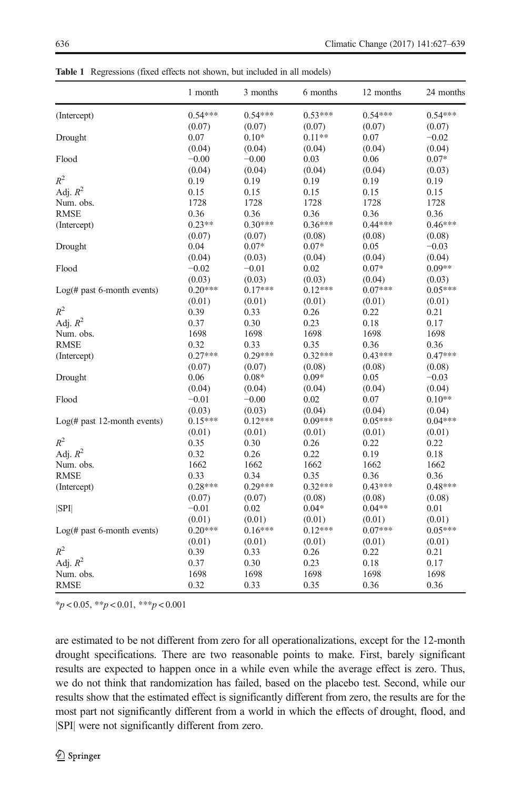|                                | 1 month   | 3 months  | 6 months  | 12 months | 24 months |
|--------------------------------|-----------|-----------|-----------|-----------|-----------|
| (Intercept)                    | $0.54***$ | $0.54***$ | $0.53***$ | $0.54***$ | $0.54***$ |
|                                | (0.07)    | (0.07)    | (0.07)    | (0.07)    | (0.07)    |
| Drought                        | 0.07      | $0.10*$   | $0.11**$  | 0.07      | $-0.02$   |
|                                | (0.04)    | (0.04)    | (0.04)    | (0.04)    | (0.04)    |
| Flood                          | $-0.00$   | $-0.00$   | 0.03      | 0.06      | $0.07*$   |
|                                | (0.04)    | (0.04)    | (0.04)    | (0.04)    | (0.03)    |
| $R^2$                          | 0.19      | 0.19      | 0.19      | 0.19      | 0.19      |
| Adj. $R^2$                     | 0.15      | 0.15      | 0.15      | 0.15      | 0.15      |
| Num. obs.                      | 1728      | 1728      | 1728      | 1728      | 1728      |
| <b>RMSE</b>                    | 0.36      | 0.36      | 0.36      | 0.36      | 0.36      |
| (Intercept)                    | $0.23**$  | $0.30***$ | $0.36***$ | $0.44***$ | $0.46***$ |
|                                | (0.07)    | (0.07)    | (0.08)    | (0.08)    | (0.08)    |
| Drought                        | 0.04      | $0.07*$   | $0.07*$   | 0.05      | $-0.03$   |
|                                | (0.04)    | (0.03)    | (0.04)    | (0.04)    | (0.04)    |
| Flood                          | $-0.02$   | $-0.01$   | 0.02      | $0.07*$   | $0.09**$  |
|                                | (0.03)    | (0.03)    | (0.03)    | (0.04)    | (0.03)    |
| Log(# past 6-month events)     | $0.20***$ | $0.17***$ | $0.12***$ | $0.07***$ | $0.05***$ |
|                                | (0.01)    | (0.01)    | (0.01)    | (0.01)    | (0.01)    |
| $R^2$                          | 0.39      | 0.33      | 0.26      | 0.22      | 0.21      |
| Adj. $R^2$                     | 0.37      | 0.30      | 0.23      | 0.18      | 0.17      |
| Num. obs.                      | 1698      | 1698      | 1698      | 1698      | 1698      |
| <b>RMSE</b>                    | 0.32      | 0.33      | 0.35      | 0.36      | 0.36      |
| (Intercept)                    | $0.27***$ | $0.29***$ | $0.32***$ | $0.43***$ | $0.47***$ |
|                                | (0.07)    | (0.07)    | (0.08)    | (0.08)    | (0.08)    |
| Drought                        | 0.06      | $0.08*$   | $0.09*$   | 0.05      | $-0.03$   |
|                                | (0.04)    | (0.04)    | (0.04)    | (0.04)    | (0.04)    |
| Flood                          | $-0.01$   | $-0.00$   | 0.02      | 0.07      | $0.10**$  |
|                                | (0.03)    | (0.03)    | (0.04)    | (0.04)    | (0.04)    |
| $Log(f)$ past 12-month events) | $0.15***$ | $0.12***$ | $0.09***$ | $0.05***$ | $0.04***$ |
|                                | (0.01)    | (0.01)    | (0.01)    | (0.01)    | (0.01)    |
| $R^2$                          | 0.35      | 0.30      | 0.26      | 0.22      | 0.22      |
| Adj. $R^2$                     | 0.32      | 0.26      | 0.22      | 0.19      | 0.18      |
| Num. obs.                      | 1662      | 1662      | 1662      | 1662      | 1662      |
| <b>RMSE</b>                    | 0.33      | 0.34      | 0.35      | 0.36      | 0.36      |
| (Intercept)                    | $0.28***$ | $0.29***$ | $0.32***$ | $0.43***$ | $0.48***$ |
|                                | (0.07)    | (0.07)    | (0.08)    | (0.08)    | (0.08)    |
| SPI                            | $-0.01$   | 0.02      | $0.04*$   | $0.04**$  | 0.01      |
|                                | (0.01)    | (0.01)    | (0.01)    | (0.01)    | (0.01)    |
| $Log(f)$ past 6-month events)  | $0.20***$ | $0.16***$ | $0.12***$ | $0.07***$ | $0.05***$ |
|                                | (0.01)    | (0.01)    | (0.01)    | (0.01)    | (0.01)    |
| $R^2$                          | 0.39      | 0.33      | 0.26      | 0.22      | 0.21      |
| Adj. $R^2$                     | 0.37      | 0.30      | 0.23      | 0.18      | 0.17      |

<span id="page-9-0"></span>Table 1 Regressions (fixed effects not shown, but included in all models)

 $*_{p < 0.05, *_{p < 0.01, *_{p < 0.001}}$ 

are estimated to be not different from zero for all operationalizations, except for the 12-month drought specifications. There are two reasonable points to make. First, barely significant results are expected to happen once in a while even while the average effect is zero. Thus, we do not think that randomization has failed, based on the placebo test. Second, while our results show that the estimated effect is significantly different from zero, the results are for the most part not significantly different from a world in which the effects of drought, flood, and |SPI| were not significantly different from zero.

Num. obs. 1698 1698 1698 1698 1698 RMSE 0.32 0.33 0.35 0.36 0.36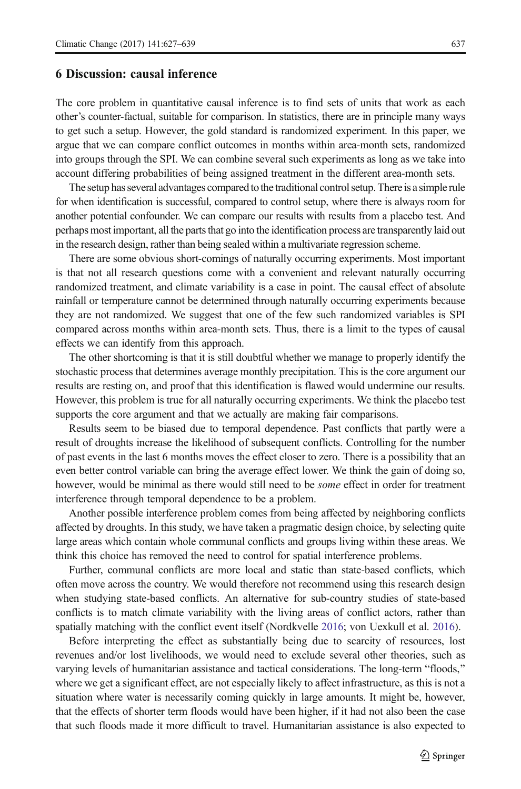## 6 Discussion: causal inference

The core problem in quantitative causal inference is to find sets of units that work as each other's counter-factual, suitable for comparison. In statistics, there are in principle many ways to get such a setup. However, the gold standard is randomized experiment. In this paper, we argue that we can compare conflict outcomes in months within area-month sets, randomized into groups through the SPI. We can combine several such experiments as long as we take into account differing probabilities of being assigned treatment in the different area-month sets.

The setup has several advantages compared to the traditional control setup. There is a simple rule for when identification is successful, compared to control setup, where there is always room for another potential confounder. We can compare our results with results from a placebo test. And perhaps most important, all the parts that go into the identification process are transparently laid out in the research design, rather than being sealed within a multivariate regression scheme.

There are some obvious short-comings of naturally occurring experiments. Most important is that not all research questions come with a convenient and relevant naturally occurring randomized treatment, and climate variability is a case in point. The causal effect of absolute rainfall or temperature cannot be determined through naturally occurring experiments because they are not randomized. We suggest that one of the few such randomized variables is SPI compared across months within area-month sets. Thus, there is a limit to the types of causal effects we can identify from this approach.

The other shortcoming is that it is still doubtful whether we manage to properly identify the stochastic process that determines average monthly precipitation. This is the core argument our results are resting on, and proof that this identification is flawed would undermine our results. However, this problem is true for all naturally occurring experiments. We think the placebo test supports the core argument and that we actually are making fair comparisons.

Results seem to be biased due to temporal dependence. Past conflicts that partly were a result of droughts increase the likelihood of subsequent conflicts. Controlling for the number of past events in the last 6 months moves the effect closer to zero. There is a possibility that an even better control variable can bring the average effect lower. We think the gain of doing so, however, would be minimal as there would still need to be *some* effect in order for treatment interference through temporal dependence to be a problem.

Another possible interference problem comes from being affected by neighboring conflicts affected by droughts. In this study, we have taken a pragmatic design choice, by selecting quite large areas which contain whole communal conflicts and groups living within these areas. We think this choice has removed the need to control for spatial interference problems.

Further, communal conflicts are more local and static than state-based conflicts, which often move across the country. We would therefore not recommend using this research design when studying state-based conflicts. An alternative for sub-country studies of state-based conflicts is to match climate variability with the living areas of conflict actors, rather than spatially matching with the conflict event itself (Nordkvelle [2016;](#page-12-0) von Uexkull et al. [2016\)](#page-12-0).

Before interpreting the effect as substantially being due to scarcity of resources, lost revenues and/or lost livelihoods, we would need to exclude several other theories, such as varying levels of humanitarian assistance and tactical considerations. The long-term "floods," where we get a significant effect, are not especially likely to affect infrastructure, as this is not a situation where water is necessarily coming quickly in large amounts. It might be, however, that the effects of shorter term floods would have been higher, if it had not also been the case that such floods made it more difficult to travel. Humanitarian assistance is also expected to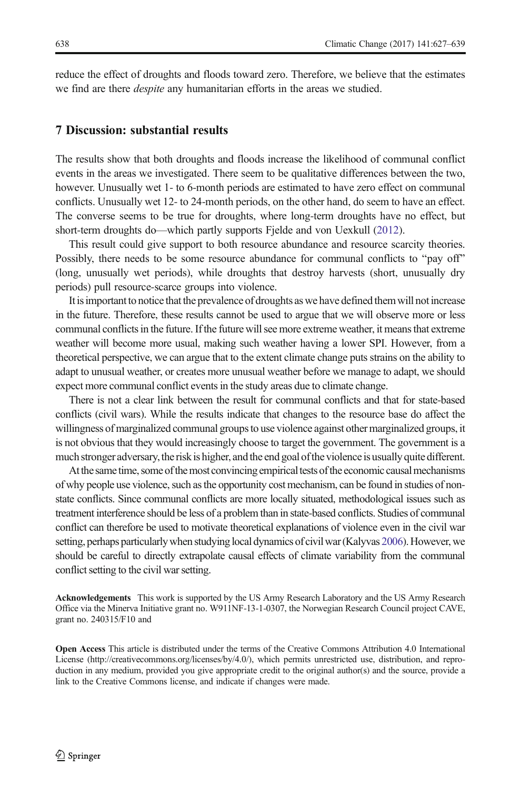reduce the effect of droughts and floods toward zero. Therefore, we believe that the estimates we find are there despite any humanitarian efforts in the areas we studied.

#### 7 Discussion: substantial results

The results show that both droughts and floods increase the likelihood of communal conflict events in the areas we investigated. There seem to be qualitative differences between the two, however. Unusually wet 1- to 6-month periods are estimated to have zero effect on communal conflicts. Unusually wet 12- to 24-month periods, on the other hand, do seem to have an effect. The converse seems to be true for droughts, where long-term droughts have no effect, but short-term droughts do—which partly supports Fjelde and von Uexkull [\(2012\)](#page-12-0).

This result could give support to both resource abundance and resource scarcity theories. Possibly, there needs to be some resource abundance for communal conflicts to "pay off" (long, unusually wet periods), while droughts that destroy harvests (short, unusually dry periods) pull resource-scarce groups into violence.

It is important to notice that the prevalence of droughts as we have definedthem will not increase in the future. Therefore, these results cannot be used to argue that we will observe more or less communal conflicts in the future. If the future will see more extreme weather, it means that extreme weather will become more usual, making such weather having a lower SPI. However, from a theoretical perspective, we can argue that to the extent climate change puts strains on the ability to adapt to unusual weather, or creates more unusual weather before we manage to adapt, we should expect more communal conflict events in the study areas due to climate change.

There is not a clear link between the result for communal conflicts and that for state-based conflicts (civil wars). While the results indicate that changes to the resource base do affect the willingness of marginalized communal groups to use violence against other marginalized groups, it is not obvious that they would increasingly choose to target the government. The government is a much stronger adversary, the risk is higher, and the end goal of the violence is usually quite different.

At the same time, some of the most convincing empirical tests of the economic causal mechanisms of why people use violence, such as the opportunity cost mechanism, can be found in studies of nonstate conflicts. Since communal conflicts are more locally situated, methodological issues such as treatment interference should be less of a problem than in state-based conflicts. Studies of communal conflict can therefore be used to motivate theoretical explanations of violence even in the civil war setting, perhaps particularly when studyinglocal dynamics of civil war (Kalyvas [2006\)](#page-12-0). However, we should be careful to directly extrapolate causal effects of climate variability from the communal conflict setting to the civil war setting.

Acknowledgements This work is supported by the US Army Research Laboratory and the US Army Research Office via the Minerva Initiative grant no. W911NF-13-1-0307, the Norwegian Research Council project CAVE, grant no. 240315/F10 and

Open Access This article is distributed under the terms of the Creative Commons Attribution 4.0 International License (http://creativecommons.org/licenses/by/4.0/), which permits unrestricted use, distribution, and reproduction in any medium, provided you give appropriate credit to the original author(s) and the source, provide a link to the Creative Commons license, and indicate if changes were made.